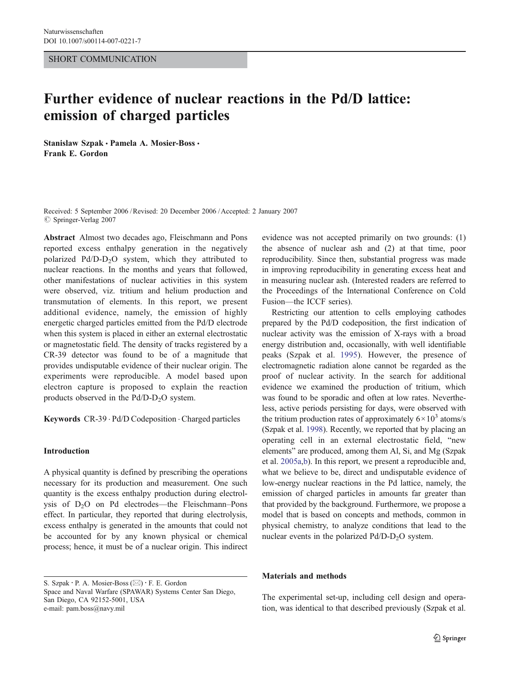#### SHORT COMMUNICATION

# Further evidence of nuclear reactions in the Pd/D lattice: emission of charged particles

Stanislaw Szpak · Pamela A. Mosier-Boss · Frank E. Gordon

Received: 5 September 2006 /Revised: 20 December 2006 /Accepted: 2 January 2007  $\oslash$  Springer-Verlag 2007

Abstract Almost two decades ago, Fleischmann and Pons reported excess enthalpy generation in the negatively polarized  $Pd/D-D<sub>2</sub>O$  system, which they attributed to nuclear reactions. In the months and years that followed, other manifestations of nuclear activities in this system were observed, viz. tritium and helium production and transmutation of elements. In this report, we present additional evidence, namely, the emission of highly energetic charged particles emitted from the Pd/D electrode when this system is placed in either an external electrostatic or magnetostatic field. The density of tracks registered by a CR-39 detector was found to be of a magnitude that provides undisputable evidence of their nuclear origin. The experiments were reproducible. A model based upon electron capture is proposed to explain the reaction products observed in the  $Pd/D-D<sub>2</sub>O$  system.

Keywords CR-39 . Pd/D Codeposition . Charged particles

#### Introduction

A physical quantity is defined by prescribing the operations necessary for its production and measurement. One such quantity is the excess enthalpy production during electrolysis of D<sub>2</sub>O on Pd electrodes—the Fleischmann–Pons effect. In particular, they reported that during electrolysis, excess enthalpy is generated in the amounts that could not be accounted for by any known physical or chemical process; hence, it must be of a nuclear origin. This indirect

S. Szpak : P. A. Mosier-Boss (*\**) : F. E. Gordon Space and Naval Warfare (SPAWAR) Systems Center San Diego, San Diego, CA 92152-5001, USA e-mail: pam.boss@navy.mil

evidence was not accepted primarily on two grounds: (1) the absence of nuclear ash and (2) at that time, poor reproducibility. Since then, substantial progress was made in improving reproducibility in generating excess heat and in measuring nuclear ash. (Interested readers are referred to the Proceedings of the International Conference on Cold Fusion—the ICCF series).

Restricting our attention to cells employing cathodes prepared by the Pd/D codeposition, the first indication of nuclear activity was the emission of X-rays with a broad energy distribution and, occasionally, with well identifiable peaks (Szpak et al. [1995\)](#page-3-0). However, the presence of electromagnetic radiation alone cannot be regarded as the proof of nuclear activity. In the search for additional evidence we examined the production of tritium, which was found to be sporadic and often at low rates. Nevertheless, active periods persisting for days, were observed with the tritium production rates of approximately  $6 \times 10^3$  atoms/s (Szpak et al. [1998](#page-3-0)). Recently, we reported that by placing an operating cell in an external electrostatic field, "new elements" are produced, among them Al, Si, and Mg (Szpak et al. [2005a,b](#page-3-0)). In this report, we present a reproducible and, what we believe to be, direct and undisputable evidence of low-energy nuclear reactions in the Pd lattice, namely, the emission of charged particles in amounts far greater than that provided by the background. Furthermore, we propose a model that is based on concepts and methods, common in physical chemistry, to analyze conditions that lead to the nuclear events in the polarized  $Pd/D-D_2O$  system.

## Materials and methods

The experimental set-up, including cell design and operation, was identical to that described previously (Szpak et al.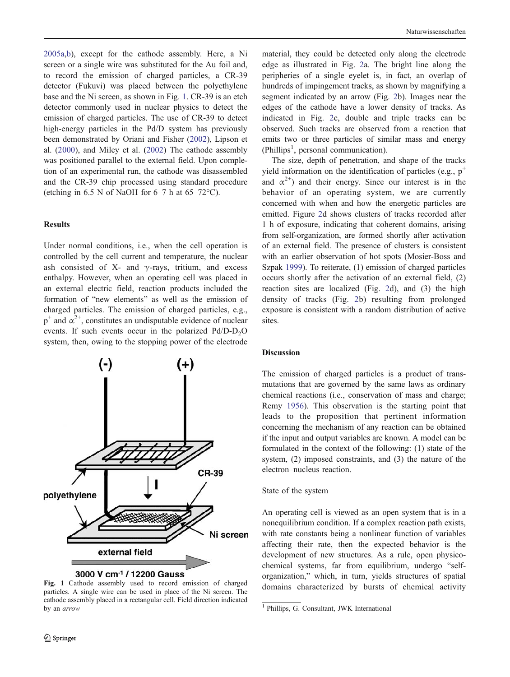[2005a](#page-3-0),[b\)](#page-3-0), except for the cathode assembly. Here, a Ni screen or a single wire was substituted for the Au foil and, to record the emission of charged particles, a CR-39 detector (Fukuvi) was placed between the polyethylene base and the Ni screen, as shown in Fig. 1. CR-39 is an etch detector commonly used in nuclear physics to detect the emission of charged particles. The use of CR-39 to detect high-energy particles in the Pd/D system has previously been demonstrated by Oriani and Fisher ([2002\)](#page-3-0), Lipson et al. ([2000\)](#page-3-0), and Miley et al. [\(2002](#page-3-0)) The cathode assembly was positioned parallel to the external field. Upon completion of an experimental run, the cathode was disassembled and the CR-39 chip processed using standard procedure (etching in 6.5 N of NaOH for  $6-7$  h at  $65-72$ °C).

## Results

Under normal conditions, i.e., when the cell operation is controlled by the cell current and temperature, the nuclear ash consisted of X- and  $\gamma$ -rays, tritium, and excess enthalpy. However, when an operating cell was placed in an external electric field, reaction products included the formation of "new elements" as well as the emission of charged particles. The emission of charged particles, e.g.,  $p^+$  and  $\alpha^{2+}$ , constitutes an undisputable evidence of nuclear events. If such events occur in the polarized  $Pd/D-D<sub>2</sub>O$ system, then, owing to the stopping power of the electrode



particles. A single wire can be used in place of the Ni screen. The cathode assembly placed in a rectangular cell. Field direction indicated by an arrow <sup>1</sup> Phillips, G. Consultant, JWK International

material, they could be detected only along the electrode edge as illustrated in Fig. [2](#page-2-0)a. The bright line along the peripheries of a single eyelet is, in fact, an overlap of hundreds of impingement tracks, as shown by magnifying a segment indicated by an arrow (Fig. [2b](#page-2-0)). Images near the edges of the cathode have a lower density of tracks. As indicated in Fig. [2](#page-2-0)c, double and triple tracks can be observed. Such tracks are observed from a reaction that emits two or three particles of similar mass and energy (Phillips<sup>1</sup>, personal communication).

The size, depth of penetration, and shape of the tracks yield information on the identification of particles (e.g.,  $p^+$ and  $\alpha^{2+}$ ) and their energy. Since our interest is in the behavior of an operating system, we are currently concerned with when and how the energetic particles are emitted. Figure [2d](#page-2-0) shows clusters of tracks recorded after 1 h of exposure, indicating that coherent domains, arising from self-organization, are formed shortly after activation of an external field. The presence of clusters is consistent with an earlier observation of hot spots (Mosier-Boss and Szpak [1999](#page-3-0)). To reiterate, (1) emission of charged particles occurs shortly after the activation of an external field, (2) reaction sites are localized (Fig. [2](#page-2-0)d), and (3) the high density of tracks (Fig. [2](#page-2-0)b) resulting from prolonged exposure is consistent with a random distribution of active sites.

#### **Discussion**

The emission of charged particles is a product of transmutations that are governed by the same laws as ordinary chemical reactions (i.e., conservation of mass and charge; Remy [1956](#page-3-0)). This observation is the starting point that leads to the proposition that pertinent information concerning the mechanism of any reaction can be obtained if the input and output variables are known. A model can be formulated in the context of the following: (1) state of the system, (2) imposed constraints, and (3) the nature of the electron–nucleus reaction.

## State of the system

An operating cell is viewed as an open system that is in a nonequilibrium condition. If a complex reaction path exists, with rate constants being a nonlinear function of variables affecting their rate, then the expected behavior is the development of new structures. As a rule, open physicochemical systems, far from equilibrium, undergo "selforganization," which, in turn, yields structures of spatial Fig. 1 Cathode assembly used to record emission of charged domains characterized by bursts of chemical activity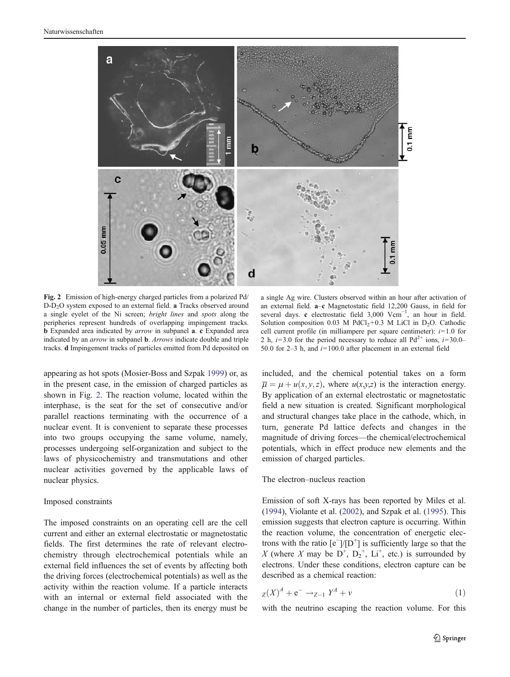<span id="page-2-0"></span>

Fig. 2 Emission of high-energy charged particles from a polarized Pd/ D-D<sub>2</sub>O system exposed to an external field. a Tracks observed around a single eyelet of the Ni screen; bright lines and spots along the peripheries represent hundreds of overlapping impingement tracks. <sup>b</sup> Expanded area indicated by arrow in subpanel <sup>a</sup>. <sup>c</sup> Expanded area indicated by an arrow in subpanel <sup>b</sup>. Arrows indicate double and triple tracks. d Impingement tracks of particles emitted from Pd deposited on

appearing as hot spots (Mosier-Boss and Szpak [1999](#page-3-0)) or, as in the present case, in the emission of charged particles as shown in Fig. 2. The reaction volume, located within the interphase, is the seat for the set of consecutive and/or parallel reactions terminating with the occurrence of a nuclear event. It is convenient to separate these processes into two groups occupying the same volume, namely, processes undergoing self-organization and subject to the laws of physicochemistry and transmutations and other nuclear activities governed by the applicable laws of nuclear physics.

#### Imposed constraints

The imposed constraints on an operating cell are the cell current and either an external electrostatic or magnetostatic fields. The first determines the rate of relevant electrochemistry through electrochemical potentials while an external field influences the set of events by affecting both the driving forces (electrochemical potentials) as well as the activity within the reaction volume. If a particle interacts with an internal or external field associated with the change in the number of particles, then its energy must be

a single Ag wire. Clusters observed within an hour after activation of an external field. a–c Magnetostatic field 12,200 Gauss, in field for several days. c electrostatic field 3,000 Vcm<sup>-1</sup>, an hour in field. Solution composition 0.03 M PdCl<sub>2</sub>+0.3 M LiCl in D<sub>2</sub>O. Cathodic cell current profile (in milliampere per square centimeter):  $i=1.0$  for 2 h,  $i=3.0$  for the period necessary to reduce all Pd<sup>2+</sup> ions,  $i=30.0-$ 50.0 for  $2-3$  h, and  $i=100.0$  after placement in an external field

included, and the chemical potential takes on a form  $\overline{\mu} = \mu + u(x, y, z)$ , where  $u(x,y,z)$  is the interaction energy. By application of an external electrostatic or magnetostatic field a new situation is created. Significant morphological and structural changes take place in the cathode, which, in turn, generate Pd lattice defects and changes in the magnitude of driving forces—the chemical/electrochemical potentials, which in effect produce new elements and the emission of charged particles.

# The electron–nucleus reaction

Emission of soft X-rays has been reported by Miles et al. [\(1994](#page-3-0)), Violante et al. ([2002\)](#page-3-0), and Szpak et al. [\(1995](#page-3-0)). This emission suggests that electron capture is occurring. Within the reaction volume, the concentration of energetic electrons with the ratio  $[e^-]/[D^+]$  is sufficiently large so that the X (where X may be  $D^+$ ,  $D_2^+$ ,  $Li^+$ , etc.) is surrounded by electrons. Hnder these conditions, electron can use can be electrons. Under these conditions, electron capture can be described as a chemical reaction:

$$
z(X)^{A} + e^{-} \to z_{-1} Y^{A} + v \tag{1}
$$

with the neutrino escaping the reaction volume. For this